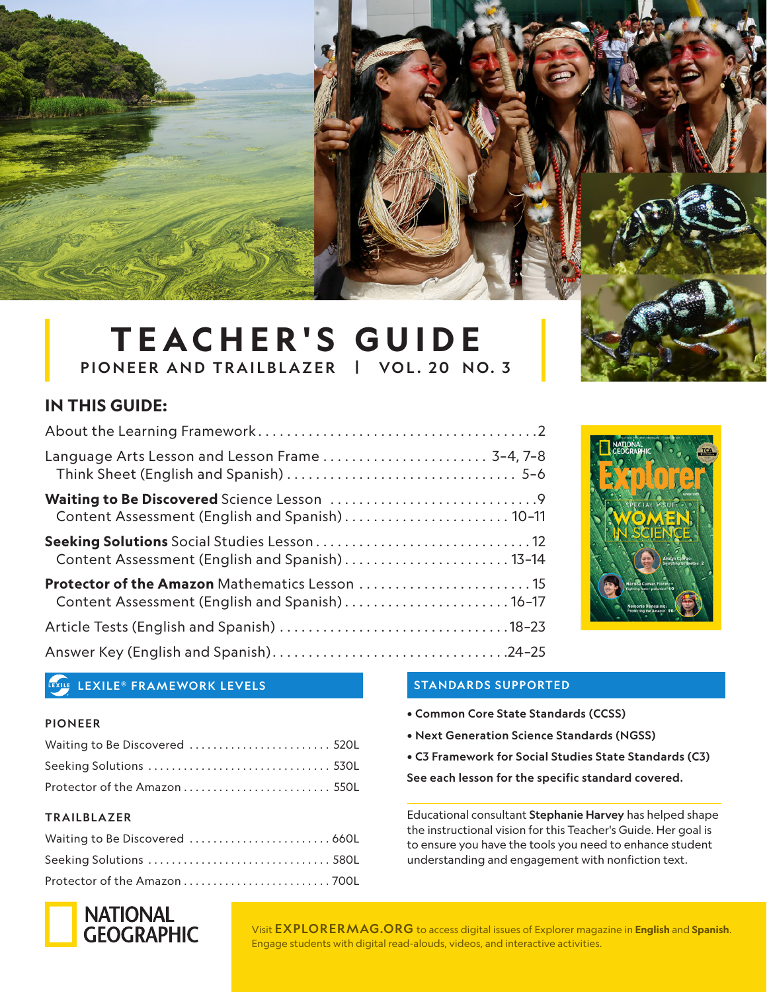# **TEACHER'S GUIDE** PIONEER AND TRAILBLAZER | VOL. 20 NO. 3

#### **IN THIS GUIDE:**

| Content Assessment (English and Spanish) 10-11 |  |
|------------------------------------------------|--|
| Content Assessment (English and Spanish) 13-14 |  |
| Content Assessment (English and Spanish) 16-17 |  |
|                                                |  |
|                                                |  |
|                                                |  |

#### LEXILE® FRAMEWORK LEVELS

#### PIONEER

| Waiting to Be Discovered  520L |  |
|--------------------------------|--|
|                                |  |
| Protector of the Amazon 550L   |  |

#### TRAILBLAZER



#### STANDARDS SUPPORTED

- Common Core State Standards (CCSS)
- Next Generation Science Standards (NGSS)
- C3 Framework for Social Studies State Standards (C3)

See each lesson for the specific standard covered.

Educational consultant Stephanie Harvey has helped shape the instructional vision for this Teacher's Guide. Her goal is to ensure you have the tools you need to enhance student understanding and engagement with nonfiction text.

Visit EXPLORERMAG.ORG to access digital issues of Explorer magazine in **English** and **Spanish**. [Engage students with digital read-alouds, videos, and interactive activities.](https://www.nationalgeographic.org/education/classroom-resources/explorer-magazine-home/)



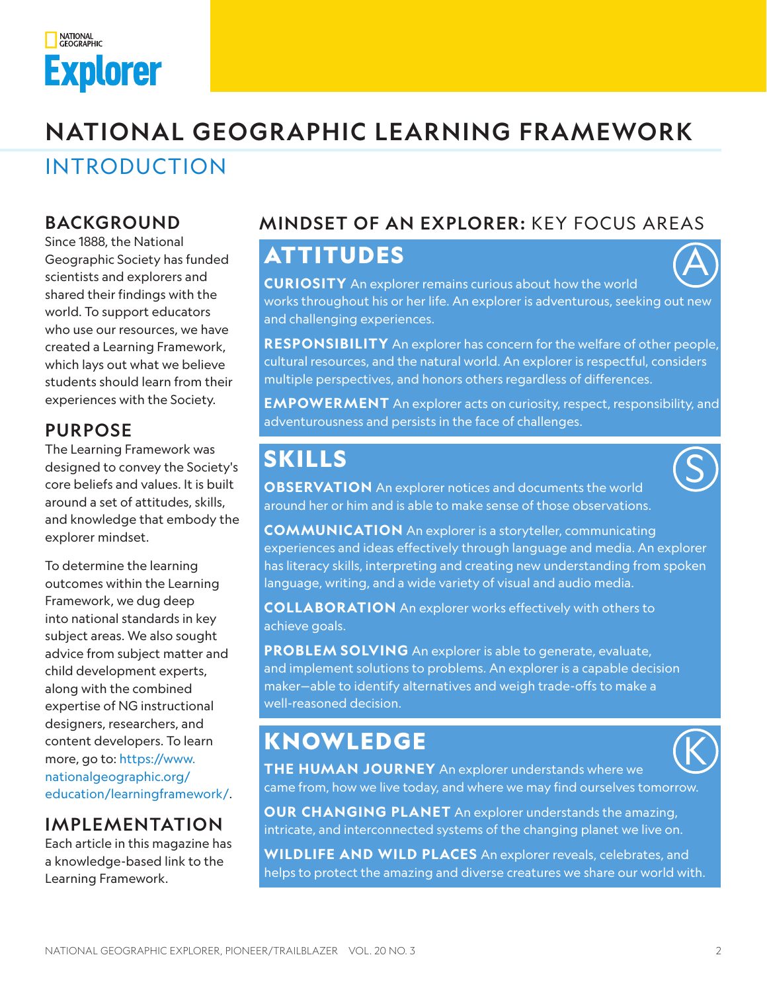# <span id="page-1-0"></span>NATIONAL<br>GEOGRAPHIC **Explorer**

# NATIONAL GEOGRAPHIC LEARNING FRAMEWORK

INTRODUCTION

#### BACKGROUND

Since 1888, the National Geographic Society has funded scientists and explorers and shared their findings with the world. To support educators who use our resources, we have created a Learning Framework, which lays out what we believe students should learn from their experiences with the Society.

#### PURPOSE

The Learning Framework was designed to convey the Society's core beliefs and values. It is built around a set of attitudes, skills, and knowledge that embody the explorer mindset.

To determine the learning outcomes within the Learning Framework, we dug deep into national standards in key subject areas. We also sought advice from subject matter and child development experts, along with the combined expertise of NG instructional designers, researchers, and content developers. To learn more, go to: [https://www.](https://www.nationalgeographic.org/education/learningframework/) [nationalgeographic.org/](https://www.nationalgeographic.org/education/learningframework/) [education/learningframework/](https://www.nationalgeographic.org/education/learningframework/).

#### IMPLEMENTATION

Each article in this magazine has a knowledge-based link to the Learning Framework.

#### MINDSET OF AN EXPLORER: KEY FOCUS AREAS

# ATTITUDES



**CURIOSITY** An explorer remains curious about how the world works throughout his or her life. An explorer is adventurous, seeking out new and challenging experiences.

**RESPONSIBILITY** An explorer has concern for the welfare of other people, cultural resources, and the natural world. An explorer is respectful, considers multiple perspectives, and honors others regardless of differences.

**EMPOWERMENT** An explorer acts on curiosity, respect, responsibility, and adventurousness and persists in the face of challenges.

# SKILLS

**OBSERVATION** An explorer notices and documents the world around her or him and is able to make sense of those observations.



**COMMUNICATION** An explorer is a storyteller, communicating experiences and ideas effectively through language and media. An explorer has literacy skills, interpreting and creating new understanding from spoken language, writing, and a wide variety of visual and audio media.

**COLLABORATION** An explorer works effectively with others to achieve goals.

**PROBLEM SOLVING** An explorer is able to generate, evaluate, and implement solutions to problems. An explorer is a capable decision maker—able to identify alternatives and weigh trade-offs to make a well-reasoned decision.

# **KNOWLEDGE**



**THE HUMAN JOURNEY** An explorer understands where we came from, how we live today, and where we may find ourselves tomorrow.

**OUR CHANGING PLANET** An explorer understands the amazing, intricate, and interconnected systems of the changing planet we live on.

**WILDLIFE AND WILD PLACES** An explorer reveals, celebrates, and helps to protect the amazing and diverse creatures we share our world with.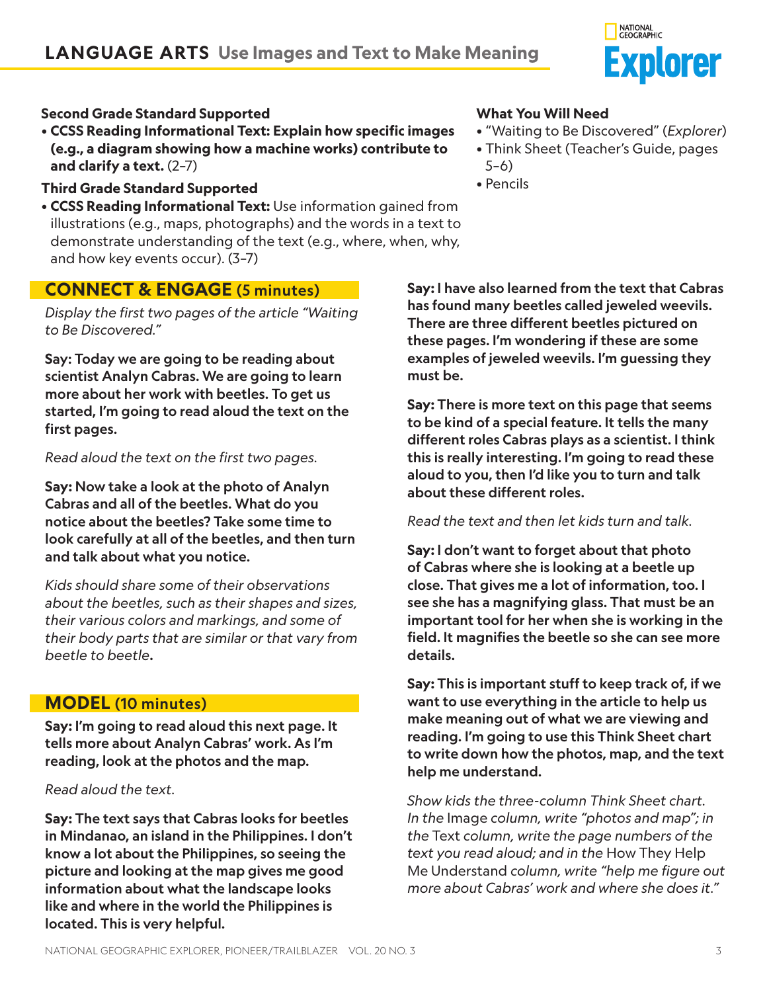

#### <span id="page-2-0"></span>**Second Grade Standard Supported**

• **CCSS Reading Informational Text: Explain how specific images (e.g., a diagram showing how a machine works) contribute to and clarify a text.** (2–7)

#### **Third Grade Standard Supported**

• **CCSS Reading Informational Text:** Use information gained from illustrations (e.g., maps, photographs) and the words in a text to demonstrate understanding of the text (e.g., where, when, why, and how key events occur). (3–7)

#### **CONNECT & ENGAGE** (5 minutes)

*Display the first two pages of the article "Waiting to Be Discovered."*

**S**ay: Today we are going to be reading about scientist Analyn Cabras. We are going to learn more about her work with beetles. To get us started, I'm going to read aloud the text on the first pages.

*Read aloud the text on the first two pages.*

**Say:** Now take a look at the photo of Analyn Cabras and all of the beetles. What do you notice about the beetles? Take some time to look carefully at all of the beetles, and then turn and talk about what you notice.

*Kids should share some of their observations about the beetles, such as their shapes and sizes, their various colors and markings, and some of their body parts that are similar or that vary from beetle to beetle*.

#### **MODEL** (10 minutes)

**Say:** I'm going to read aloud this next page. It tells more about Analyn Cabras' work. As I'm reading, look at the photos and the map.

*Read aloud the text.*

**Say:** The text says that Cabras looks for beetles in Mindanao, an island in the Philippines. I don't know a lot about the Philippines, so seeing the picture and looking at the map gives me good information about what the landscape looks like and where in the world the Philippines is located. This is very helpful.

#### **What You Will Need**

- "Waiting to Be Discovered" (*Explorer*)
- Think Sheet (Teacher's Guide, pages 5–6)
- Pencils

**Say:** I have also learned from the text that Cabras has found many beetles called jeweled weevils. There are three different beetles pictured on these pages. I'm wondering if these are some examples of jeweled weevils. I'm guessing they must be.

**Say:** There is more text on this page that seems to be kind of a special feature. It tells the many different roles Cabras plays as a scientist. I think this is really interesting. I'm going to read these aloud to you, then I'd like you to turn and talk about these different roles.

*Read the text and then let kids turn and talk.*

**Say:** I don't want to forget about that photo of Cabras where she is looking at a beetle up close. That gives me a lot of information, too. I see she has a magnifying glass. That must be an important tool for her when she is working in the field. It magnifies the beetle so she can see more details.

**Say:** This is important stuff to keep track of, if we want to use everything in the article to help us make meaning out of what we are viewing and reading. I'm going to use this Think Sheet chart to write down how the photos, map, and the text help me understand.

*Show kids the three-column Think Sheet chart. In the* Image *column, write "photos and map"; in the* Text *column, write the page numbers of the text you read aloud; and in the* How They Help Me Understand *column, write "help me figure out more about Cabras' work and where she does it."*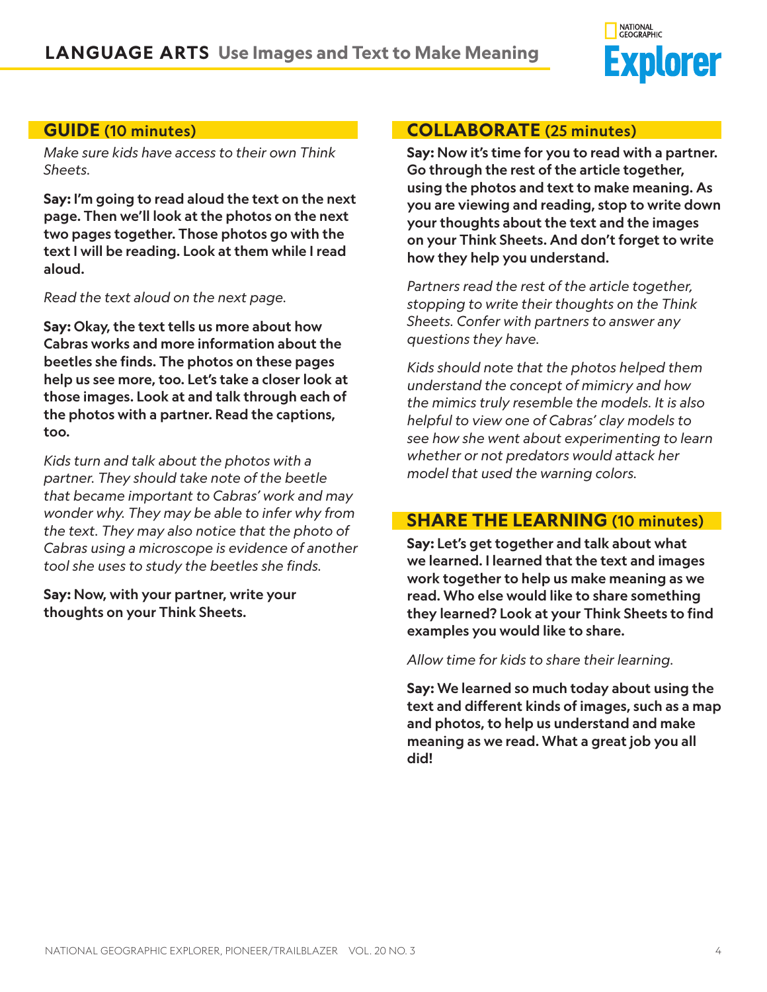

#### **GUIDE** (10 minutes)

*Make sure kids have access to their own Think Sheets.*

**Say:** I'm going to read aloud the text on the next page. Then we'll look at the photos on the next two pages together. Those photos go with the text I will be reading. Look at them while I read aloud.

*Read the text aloud on the next page.*

**Say:** Okay, the text tells us more about how Cabras works and more information about the beetles she finds. The photos on these pages help us see more, too. Let's take a closer look at those images. Look at and talk through each of the photos with a partner. Read the captions, too.

*Kids turn and talk about the photos with a partner. They should take note of the beetle that became important to Cabras' work and may wonder why. They may be able to infer why from the text. They may also notice that the photo of Cabras using a microscope is evidence of another tool she uses to study the beetles she finds.*

**Say:** Now, with your partner, write your thoughts on your Think Sheets.

#### **COLLABORATE** (25 minutes)

**Say:** Now it's time for you to read with a partner. Go through the rest of the article together, using the photos and text to make meaning. As you are viewing and reading, stop to write down your thoughts about the text and the images on your Think Sheets. And don't forget to write how they help you understand.

*Partners read the rest of the article together, stopping to write their thoughts on the Think Sheets. Confer with partners to answer any questions they have.* 

*Kids should note that the photos helped them understand the concept of mimicry and how the mimics truly resemble the models. It is also helpful to view one of Cabras' clay models to see how she went about experimenting to learn whether or not predators would attack her model that used the warning colors.*

#### **SHARE THE LEARNING** (10 minutes)

**Say:** Let's get together and talk about what we learned. I learned that the text and images work together to help us make meaning as we read. Who else would like to share something they learned? Look at your Think Sheets to find examples you would like to share.

*Allow time for kids to share their learning.*

**Say:** We learned so much today about using the text and different kinds of images, such as a map and photos, to help us understand and make meaning as we read. What a great job you all did!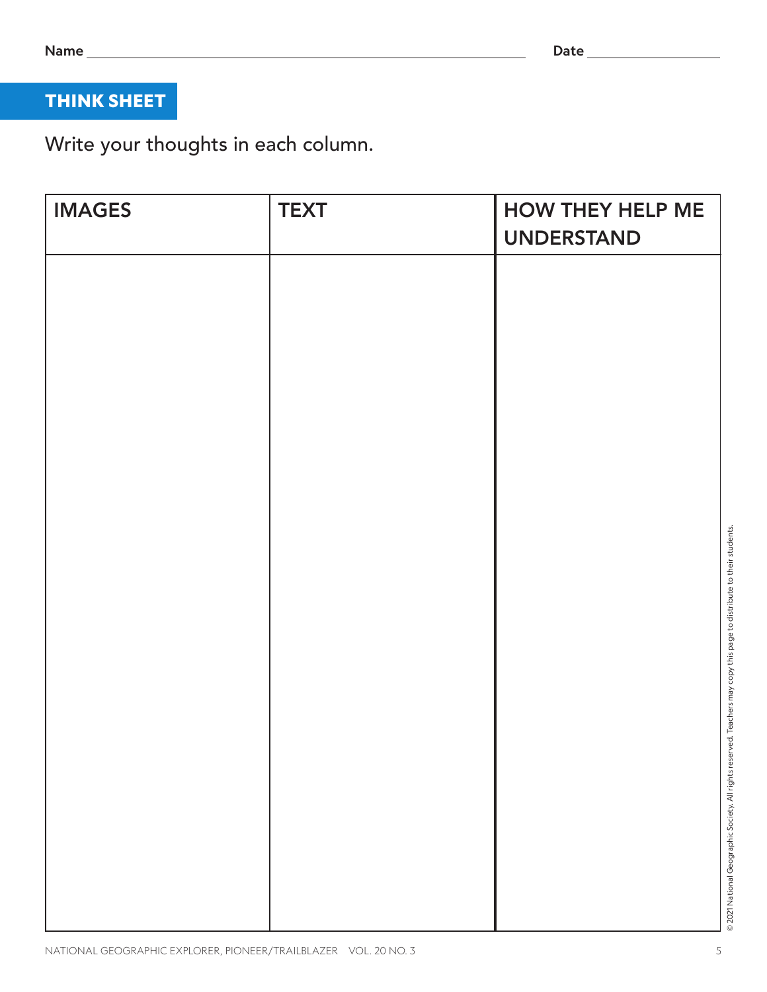# <span id="page-4-0"></span>THINK SHEET

Write your thoughts in each column.

| <b>IMAGES</b> | <b>TEXT</b> | HOW THEY HELP ME<br><b>UNDERSTAND</b> |
|---------------|-------------|---------------------------------------|
|               |             |                                       |
|               |             |                                       |
|               |             |                                       |
|               |             |                                       |
|               |             |                                       |
|               |             |                                       |
|               |             |                                       |
|               |             |                                       |
|               |             |                                       |
|               |             |                                       |
|               |             |                                       |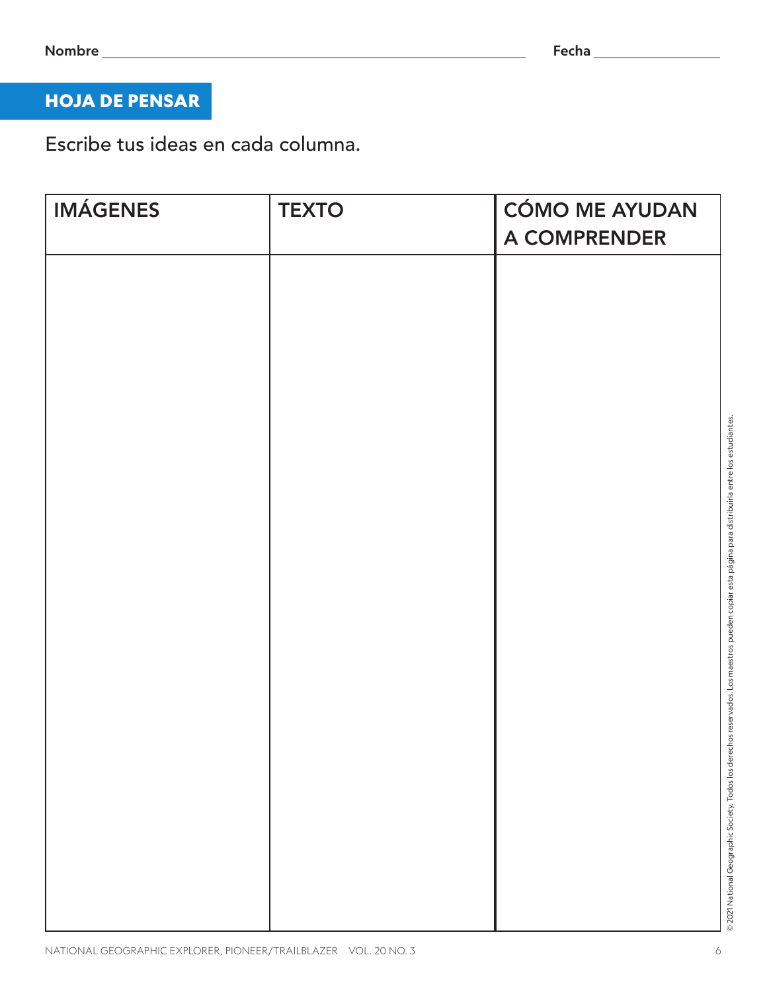# HOJA DE PENSAR

Escribe tus ideas en cada columna.

| <b>IMÁGENES</b> | <b>TEXTO</b> | <b>CÓMO ME AYUDAN</b><br>A COMPRENDER |
|-----------------|--------------|---------------------------------------|
|                 |              |                                       |
|                 |              |                                       |
|                 |              |                                       |
|                 |              |                                       |
|                 |              |                                       |
|                 |              |                                       |
|                 |              |                                       |
|                 |              |                                       |
|                 |              |                                       |
|                 |              |                                       |
|                 |              |                                       |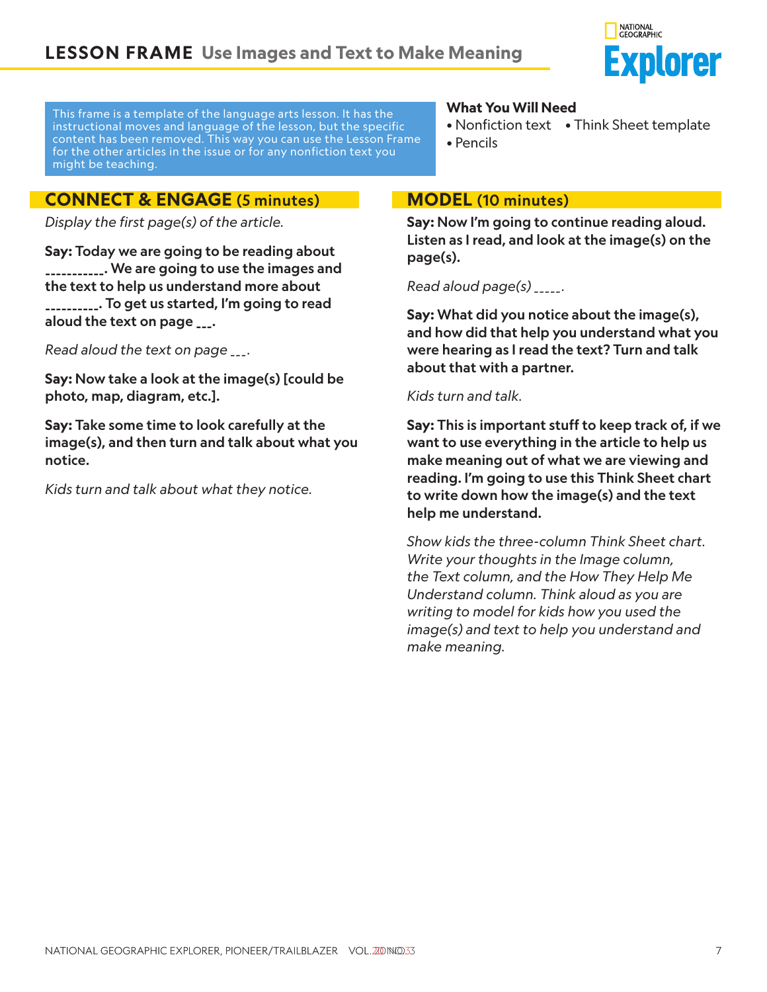

This frame is a template of the language arts lesson. It has the instructional moves and language of the lesson, but the specific content has been removed. This way you can use the Lesson Frame for the other articles in the issue or for any nonfiction text you might be teaching.

#### **CONNECT & ENGAGE** (5 minutes)

*Display the first page(s) of the article.*

**Say:** Today we are going to be reading about \_\_\_\_\_\_\_\_\_\_\_. We are going to use the images and the text to help us understand more about \_\_\_\_\_\_\_\_\_\_. To get us started, I'm going to read aloud the text on page \_\_\_.

*Read aloud the text on page \_\_\_.*

**Say:** Now take a look at the image(s) [could be photo, map, diagram, etc.].

**Say:** Take some time to look carefully at the image(s), and then turn and talk about what you notice.

*Kids turn and talk about what they notice.*

#### **What You Will Need**

- Nonfiction text Think Sheet template • Pencils
- 

#### **MODEL** (10 minutes)

**Say:** Now I'm going to continue reading aloud. Listen as I read, and look at the image(s) on the page(s).

*Read aloud page(s) \_\_\_\_\_.*

**Say:** What did you notice about the image(s), and how did that help you understand what you were hearing as I read the text? Turn and talk about that with a partner.

*Kids turn and talk.*

**Say:** This is important stuff to keep track of, if we want to use everything in the article to help us make meaning out of what we are viewing and reading. I'm going to use this Think Sheet chart to write down how the image(s) and the text help me understand.

*Show kids the three-column Think Sheet chart. Write your thoughts in the Image column, the Text column, and the How They Help Me Understand column. Think aloud as you are writing to model for kids how you used the image(s) and text to help you understand and make meaning.*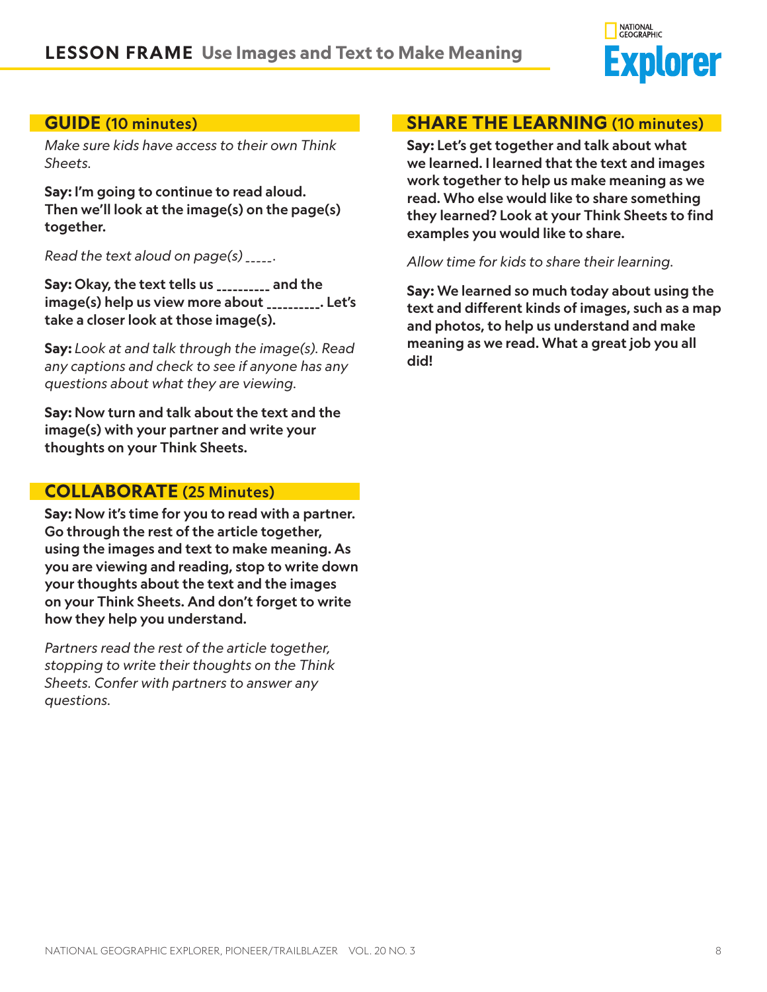

#### **GUIDE** (10 minutes)

*Make sure kids have access to their own Think Sheets.*

**Say:** I'm going to continue to read aloud. Then we'll look at the image(s) on the page(s) together.

*Read the text aloud on page(s) \_\_\_\_\_.*

**Say:** Okay, the text tells us \_\_\_\_\_\_\_\_\_\_ and the image(s) help us view more about \_\_\_\_\_\_\_\_\_\_. Let's take a closer look at those image(s).

**Say:** *Look at and talk through the image(s). Read any captions and check to see if anyone has any questions about what they are viewing.* 

**Say:** Now turn and talk about the text and the image(s) with your partner and write your thoughts on your Think Sheets.

#### **COLLABORATE** (25 Minutes)

**Say:** Now it's time for you to read with a partner. Go through the rest of the article together, using the images and text to make meaning. As you are viewing and reading, stop to write down your thoughts about the text and the images on your Think Sheets. And don't forget to write how they help you understand.

*Partners read the rest of the article together, stopping to write their thoughts on the Think Sheets. Confer with partners to answer any questions.*

#### **SHARE THE LEARNING** (10 minutes)

**Say:** Let's get together and talk about what we learned. I learned that the text and images work together to help us make meaning as we read. Who else would like to share something they learned? Look at your Think Sheets to find examples you would like to share.

*Allow time for kids to share their learning.*

**Say:** We learned so much today about using the text and different kinds of images, such as a map and photos, to help us understand and make meaning as we read. What a great job you all did!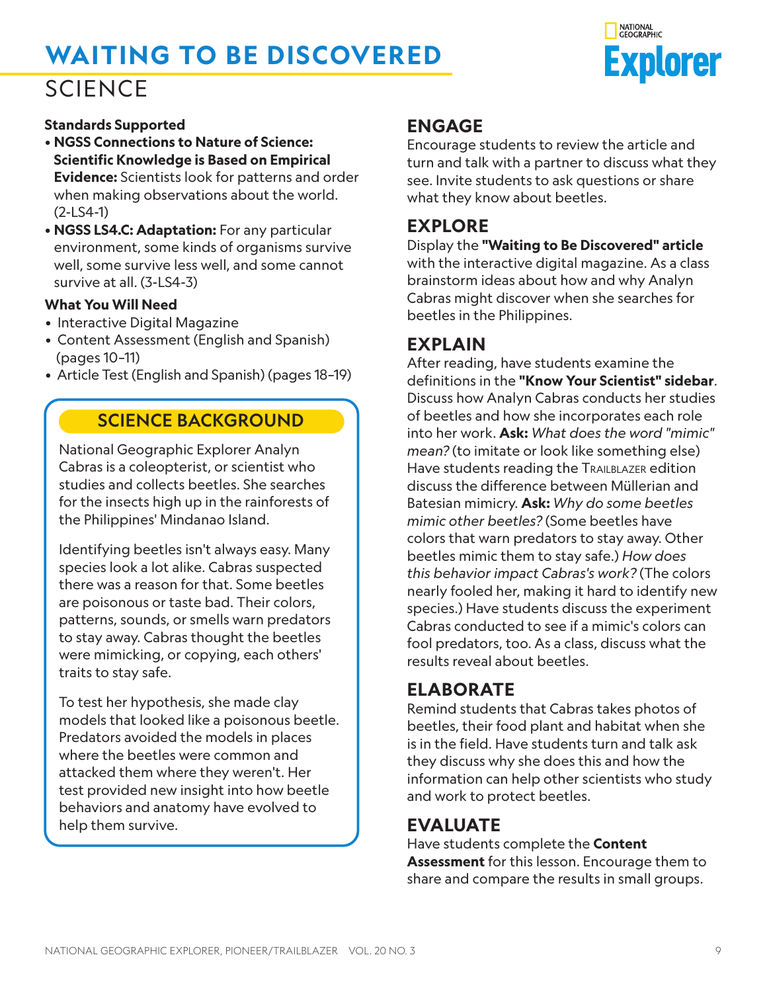# <span id="page-8-0"></span>**WAITING TO BE DISCOVERED**

# SCIENCE



#### **Standards Supported**

- **NGSS Connections to Nature of Science: Scientific Knowledge is Based on Empirical Evidence:** Scientists look for patterns and order when making observations about the world. (2-LS4-1)
- **NGSS LS4.C: Adaptation:** For any particular environment, some kinds of organisms survive well, some survive less well, and some cannot survive at all. (3-LS4-3)

#### **What You Will Need**

- Interactive Digital Magazine
- Content Assessment (English and Spanish) (pages 10–11)
- Article Test (English and Spanish) (pages 18–19)

#### SCIENCE BACKGROUND

National Geographic Explorer Analyn Cabras is a coleopterist, or scientist who studies and collects beetles. She searches for the insects high up in the rainforests of the Philippines' Mindanao Island.

Identifying beetles isn't always easy. Many species look a lot alike. Cabras suspected there was a reason for that. Some beetles are poisonous or taste bad. Their colors, patterns, sounds, or smells warn predators to stay away. Cabras thought the beetles were mimicking, or copying, each others' traits to stay safe.

To test her hypothesis, she made clay models that looked like a poisonous beetle. Predators avoided the models in places where the beetles were common and attacked them where they weren't. Her test provided new insight into how beetle behaviors and anatomy have evolved to help them survive.

#### **ENGAGE**

Encourage students to review the article and turn and talk with a partner to discuss what they see. Invite students to ask questions or share what they know about beetles.

#### **EXPLORE**

Display the **"Waiting to Be Discovered" article** with the interactive digital magazine. As a class brainstorm ideas about how and why Analyn Cabras might discover when she searches for beetles in the Philippines.

#### **EXPLAIN**

After reading, have students examine the definitions in the **"Know Your Scientist" sidebar**. Discuss how Analyn Cabras conducts her studies of beetles and how she incorporates each role into her work. **Ask:** *What does the word "mimic" mean?* (to imitate or look like something else) Have students reading the TRAILBLAZER edition discuss the difference between Müllerian and Batesian mimicry. **Ask:** *Why do some beetles mimic other beetles?* (Some beetles have colors that warn predators to stay away. Other beetles mimic them to stay safe.) *How does this behavior impact Cabras's work?* (The colors nearly fooled her, making it hard to identify new species.) Have students discuss the experiment Cabras conducted to see if a mimic's colors can fool predators, too. As a class, discuss what the results reveal about beetles.

#### **ELABORATE**

Remind students that Cabras takes photos of beetles, their food plant and habitat when she is in the field. Have students turn and talk ask they discuss why she does this and how the information can help other scientists who study and work to protect beetles.

#### **EVALUATE**

#### Have students complete the **Content**

**Assessment** for this lesson. Encourage them to share and compare the results in small groups.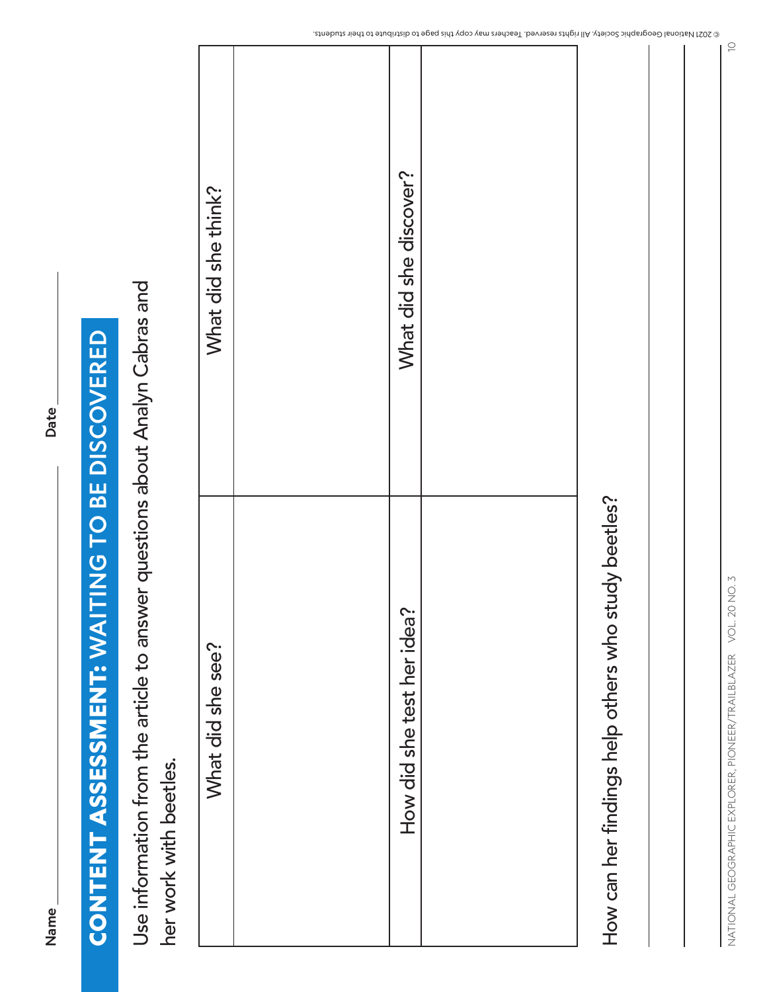# **DISCOVERED** CONTENT ASSESSMENT: WAITING TO BE DISCOVERED BE<sup>I</sup>  $\overline{C}$ CONTENT ASSESSMONT AND THAIT OUR

Use information from the article to answer questions about Analyn Cabras and Use information from the article to answer questions about Analyn Cabras and her work with beetles. her work with beetles.

<span id="page-9-0"></span>

| What did she think? | What did she discover?     |                                                     |  |
|---------------------|----------------------------|-----------------------------------------------------|--|
| What did she see?   | How did she test her idea? | How can her findings help others who study beetles? |  |

NATIONAL GEOGRAPHIC EXPLORER, PIONEER/TRAILBLAZER VOL. 20 NO. 3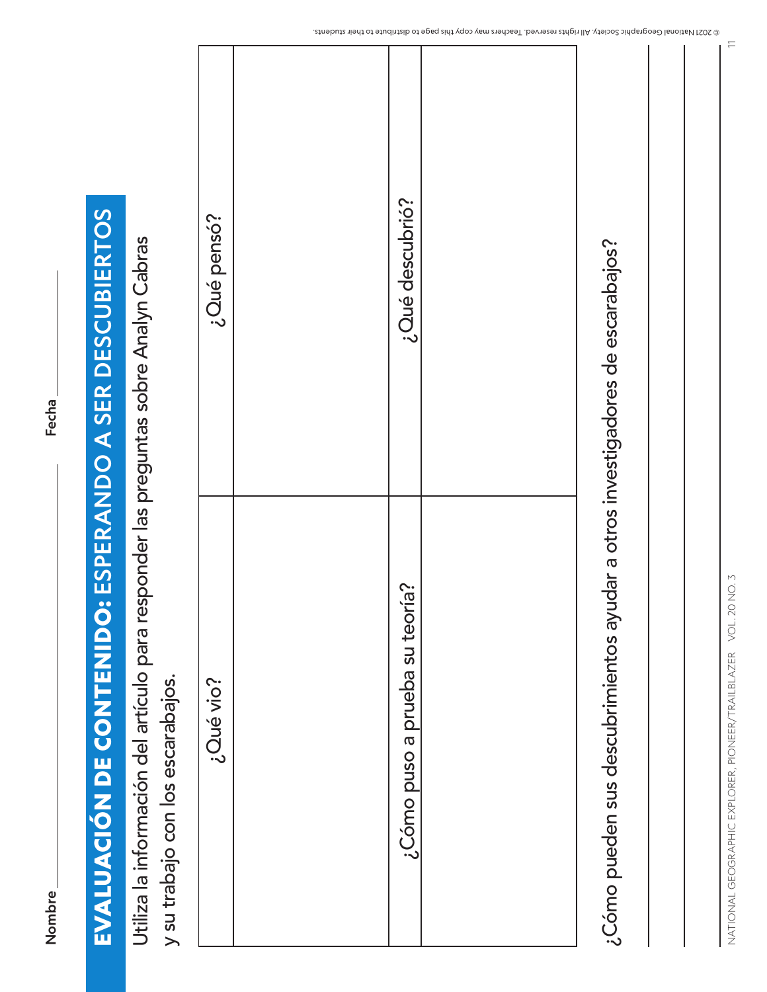# EVALUACIÓN DE CONTENIDO: ESPERANDO A SER DESCUBIERTOS EVALUACIÓN DE CONTENIDO: ESPERANDO A SER DESCUBIERTOS

Utiliza la información del artículo para responder las preguntas sobre Analyn Cabras Utiliza la información del artículo para responder las preguntas sobre Analyn Cabras

y su trabajo con los escarabajos. y su trabajo con los escarabajos.

| ¿Qué pensó? | ¿Qué descubrió?                |                                                                                |  |
|-------------|--------------------------------|--------------------------------------------------------------------------------|--|
| ¿Qué vio?   | ¿Cómo puso a prueba su teoría? | ¿Cómo pueden sus descubrimientos ayudar a otros investigadores de escarabajos? |  |

 $\rightleftharpoons$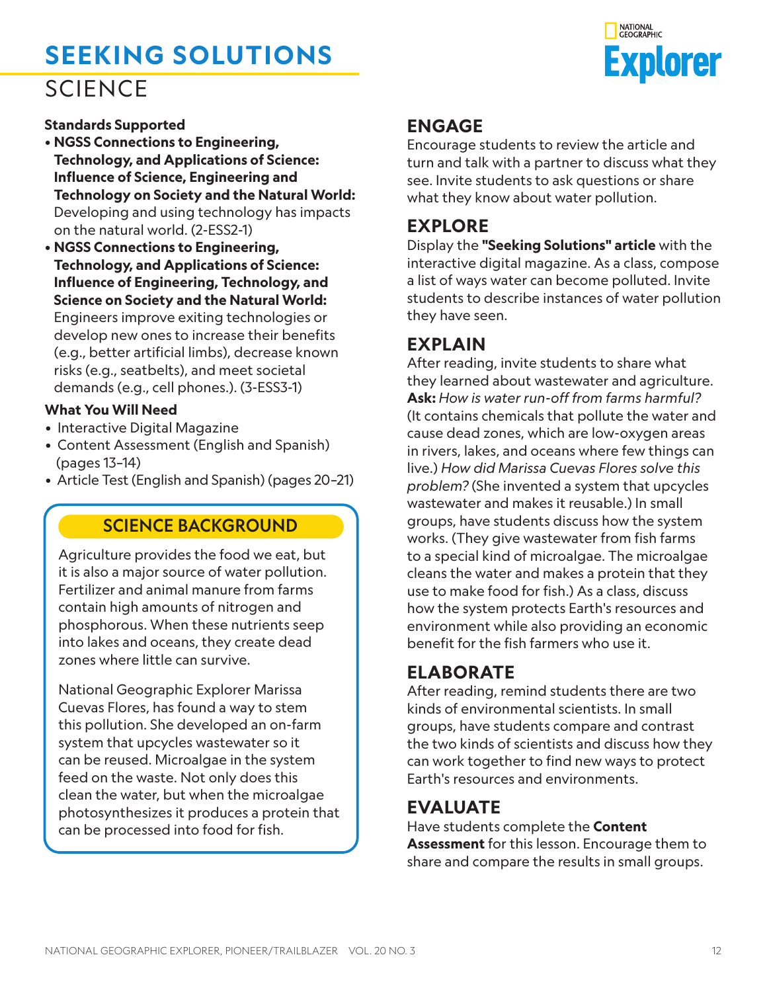# <span id="page-11-0"></span>**SEEKING SOLUTIONS** SCIENCE



#### **Standards Supported**

- **NGSS Connections to Engineering, Technology, and Applications of Science: Influence of Science, Engineering and Technology on Society and the Natural World:**  Developing and using technology has impacts on the natural world. (2-ESS2-1)
- **NGSS Connections to Engineering, Technology, and Applications of Science: Influence of Engineering, Technology, and Science on Society and the Natural World:**  Engineers improve exiting technologies or develop new ones to increase their benefits (e.g., better artificial limbs), decrease known risks (e.g., seatbelts), and meet societal demands (e.g., cell phones.). (3-ESS3-1)

#### **What You Will Need**

- Interactive Digital Magazine
- Content Assessment (English and Spanish) (pages 13–14)
- Article Test (English and Spanish) (pages 20–21)

#### SCIENCE BACKGROUND

Agriculture provides the food we eat, but it is also a major source of water pollution. Fertilizer and animal manure from farms contain high amounts of nitrogen and phosphorous. When these nutrients seep into lakes and oceans, they create dead zones where little can survive.

National Geographic Explorer Marissa Cuevas Flores, has found a way to stem this pollution. She developed an on-farm system that upcycles wastewater so it can be reused. Microalgae in the system feed on the waste. Not only does this clean the water, but when the microalgae photosynthesizes it produces a protein that can be processed into food for fish.

#### **ENGAGE**

Encourage students to review the article and turn and talk with a partner to discuss what they see. Invite students to ask questions or share what they know about water pollution.

#### **EXPLORE**

Display the **"Seeking Solutions" article** with the interactive digital magazine. As a class, compose a list of ways water can become polluted. Invite students to describe instances of water pollution they have seen.

#### **EXPLAIN**

After reading, invite students to share what they learned about wastewater and agriculture. **Ask:** *How is water run-off from farms harmful?* (It contains chemicals that pollute the water and cause dead zones, which are low-oxygen areas in rivers, lakes, and oceans where few things can live.) *How did Marissa Cuevas Flores solve this problem?* (She invented a system that upcycles wastewater and makes it reusable.) In small groups, have students discuss how the system works. (They give wastewater from fish farms to a special kind of microalgae. The microalgae cleans the water and makes a protein that they use to make food for fish.) As a class, discuss how the system protects Earth's resources and environment while also providing an economic benefit for the fish farmers who use it.

#### **ELABORATE**

After reading, remind students there are two kinds of environmental scientists. In small groups, have students compare and contrast the two kinds of scientists and discuss how they can work together to find new ways to protect Earth's resources and environments.

#### **EVALUATE**

Have students complete the **Content Assessment** for this lesson. Encourage them to share and compare the results in small groups.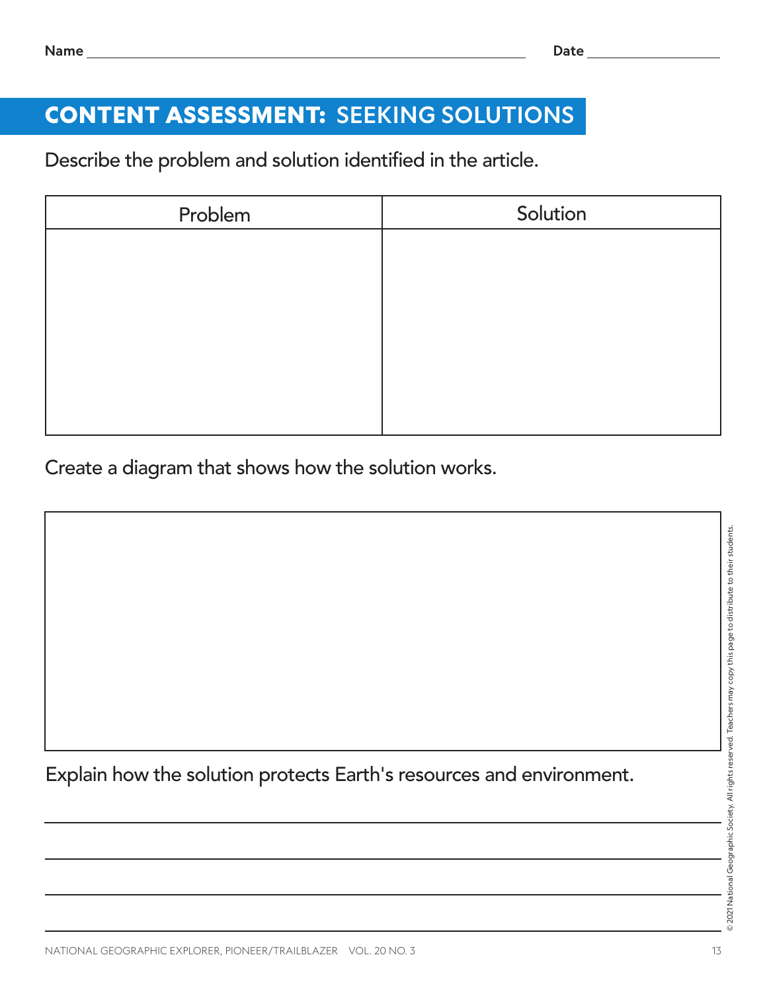# <span id="page-12-0"></span>CONTENT ASSESSMENT: SEEKING SOLUTIONS

Describe the problem and solution identified in the article.

| Problem | Solution |
|---------|----------|
|         |          |
|         |          |
|         |          |
|         |          |
|         |          |
|         |          |
|         |          |

Create a diagram that shows how the solution works.

Explain how the solution protects Earth's resources and environment.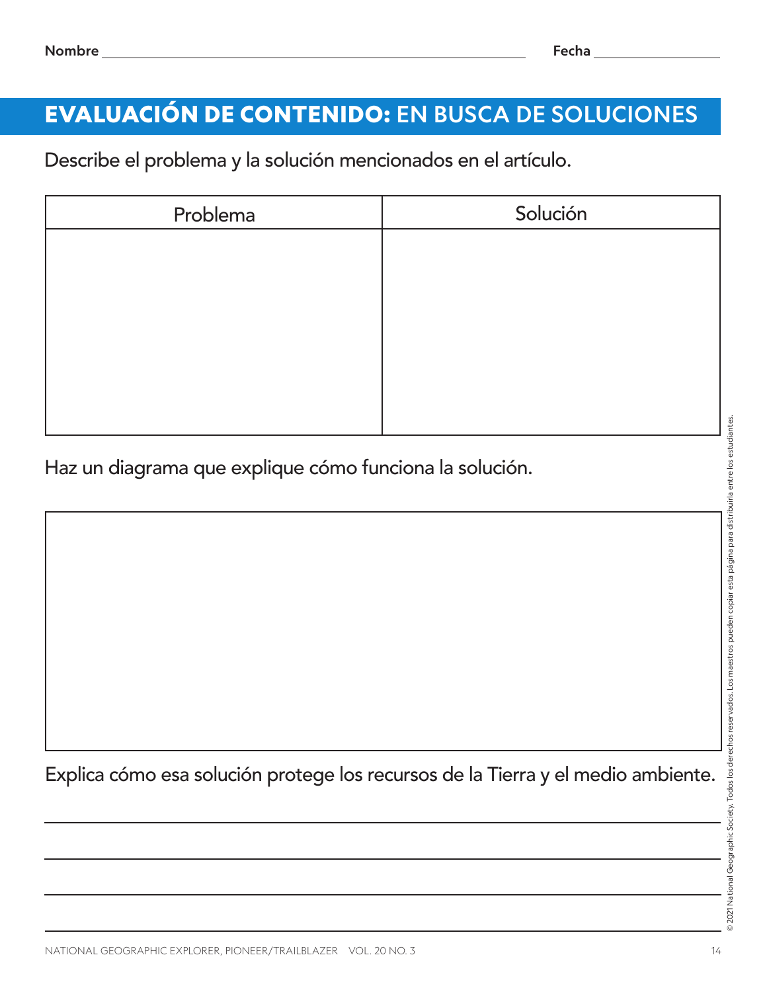# EVALUACIÓN DE CONTENIDO: EN BUSCA DE SOLUCIONES

Describe el problema y la solución mencionados en el artículo.

| Problema | Solución |
|----------|----------|
|          |          |
|          |          |
|          |          |
|          |          |
|          |          |
|          |          |
|          |          |

Haz un diagrama que explique cómo funciona la solución.

Explica cómo esa solución protege los recursos de la Tierra y el medio ambiente.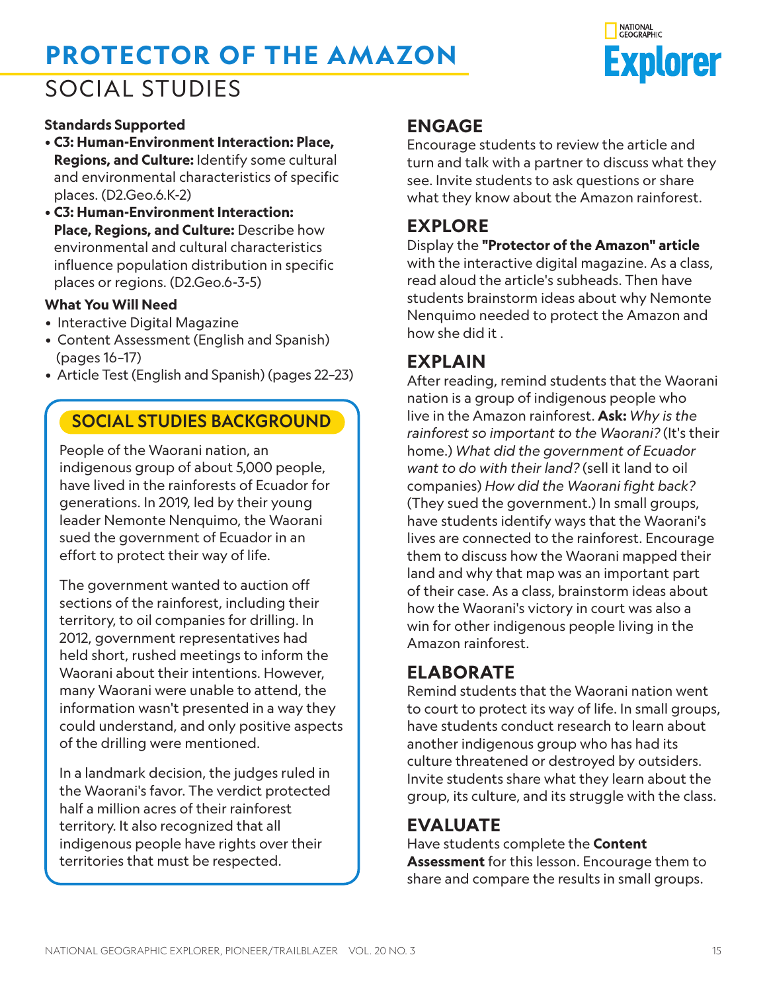# <span id="page-14-0"></span>**PROTECTOR OF THE AMAZON**



# SOCIAL STUDIES

#### **Standards Supported**

- **C3: Human-Environment Interaction: Place, Regions, and Culture:** Identify some cultural and environmental characteristics of specific places. (D2.Geo.6.K-2)
- **C3: Human-Environment Interaction: Place, Regions, and Culture:** Describe how environmental and cultural characteristics influence population distribution in specific places or regions. (D2.Geo.6-3-5)

#### **What You Will Need**

- Interactive Digital Magazine
- Content Assessment (English and Spanish) (pages 16–17)
- Article Test (English and Spanish) (pages 22–23)

#### SOCIAL STUDIES BACKGROUND

People of the Waorani nation, an indigenous group of about 5,000 people, have lived in the rainforests of Ecuador for generations. In 2019, led by their young leader Nemonte Nenquimo, the Waorani sued the government of Ecuador in an effort to protect their way of life.

The government wanted to auction off sections of the rainforest, including their territory, to oil companies for drilling. In 2012, government representatives had held short, rushed meetings to inform the Waorani about their intentions. However, many Waorani were unable to attend, the information wasn't presented in a way they could understand, and only positive aspects of the drilling were mentioned.

In a landmark decision, the judges ruled in the Waorani's favor. The verdict protected half a million acres of their rainforest territory. It also recognized that all indigenous people have rights over their territories that must be respected.

#### **ENGAGE**

Encourage students to review the article and turn and talk with a partner to discuss what they see. Invite students to ask questions or share what they know about the Amazon rainforest.

#### **EXPLORE**

Display the **"Protector of the Amazon" article**  with the interactive digital magazine. As a class, read aloud the article's subheads. Then have students brainstorm ideas about why Nemonte Nenquimo needed to protect the Amazon and how she did it .

#### **EXPLAIN**

After reading, remind students that the Waorani nation is a group of indigenous people who live in the Amazon rainforest. **Ask:** *Why is the rainforest so important to the Waorani?* (It's their home.) *What did the government of Ecuador want to do with their land?* (sell it land to oil companies) *How did the Waorani fight back?*  (They sued the government.) In small groups, have students identify ways that the Waorani's lives are connected to the rainforest. Encourage them to discuss how the Waorani mapped their land and why that map was an important part of their case. As a class, brainstorm ideas about how the Waorani's victory in court was also a win for other indigenous people living in the Amazon rainforest.

#### **ELABORATE**

Remind students that the Waorani nation went to court to protect its way of life. In small groups, have students conduct research to learn about another indigenous group who has had its culture threatened or destroyed by outsiders. Invite students share what they learn about the group, its culture, and its struggle with the class.

#### **EVALUATE**

## Have students complete the **Content**

**Assessment** for this lesson. Encourage them to share and compare the results in small groups.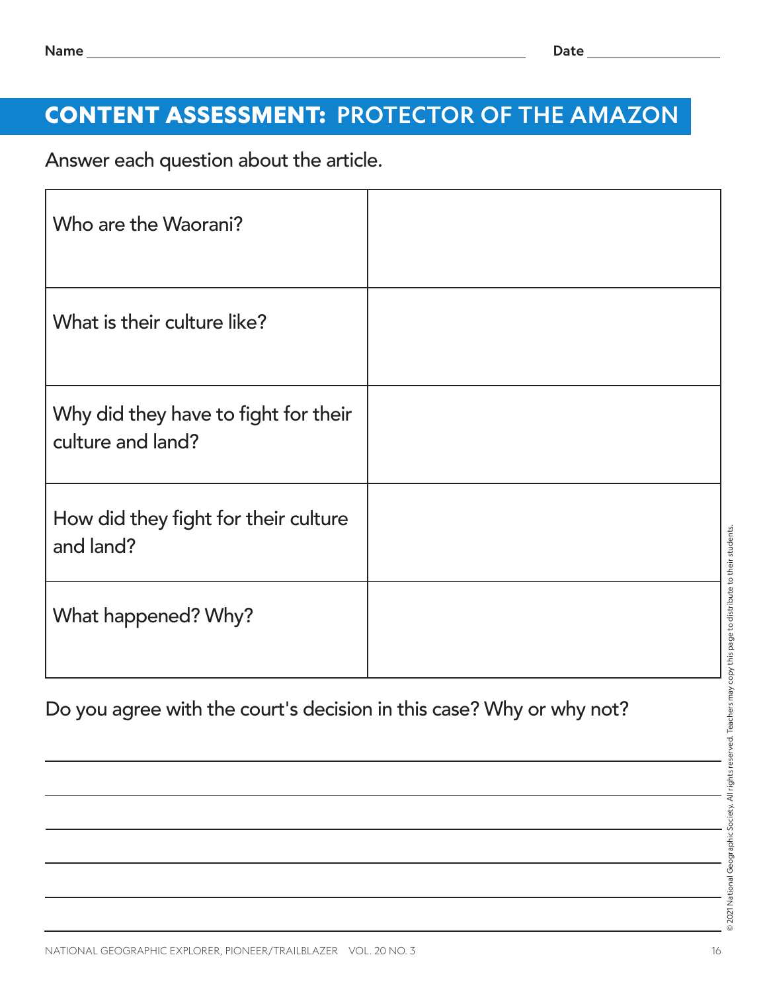# <span id="page-15-0"></span>CONTENT ASSESSMENT: PROTECTOR OF THE AMAZON

Answer each question about the article.

| Who are the Waorani?                                      |  |
|-----------------------------------------------------------|--|
| What is their culture like?                               |  |
| Why did they have to fight for their<br>culture and land? |  |
| How did they fight for their culture<br>and land?         |  |
| What happened? Why?                                       |  |

Do you agree with the court's decision in this case? Why or why not?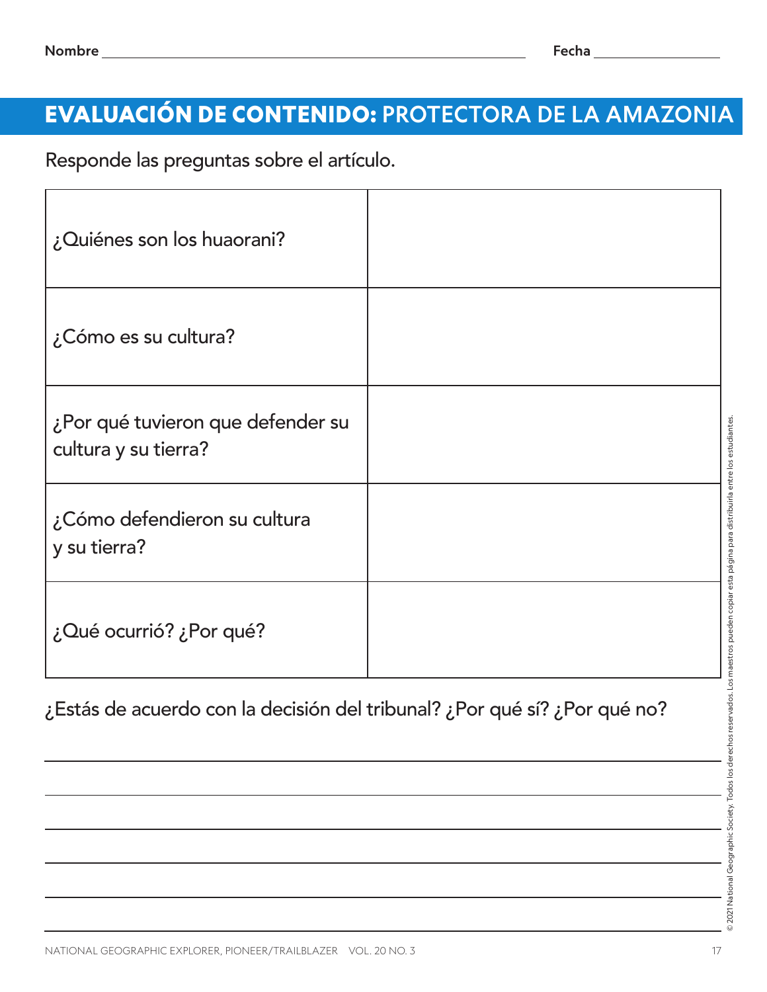# EVALUACIÓN DE CONTENIDO: PROTECTORA DE LA AMAZONIA

Responde las preguntas sobre el artículo.

| ¿Quiénes son los huaorani?                                |  |
|-----------------------------------------------------------|--|
| ¿Cómo es su cultura?                                      |  |
| ¿Por qué tuvieron que defender su<br>cultura y su tierra? |  |
| ¿Cómo defendieron su cultura<br>y su tierra?              |  |
| ¿Qué ocurrió? ¿Por qué?                                   |  |

¿Estás de acuerdo con la decisión del tribunal? ¿Por qué sí? ¿Por qué no?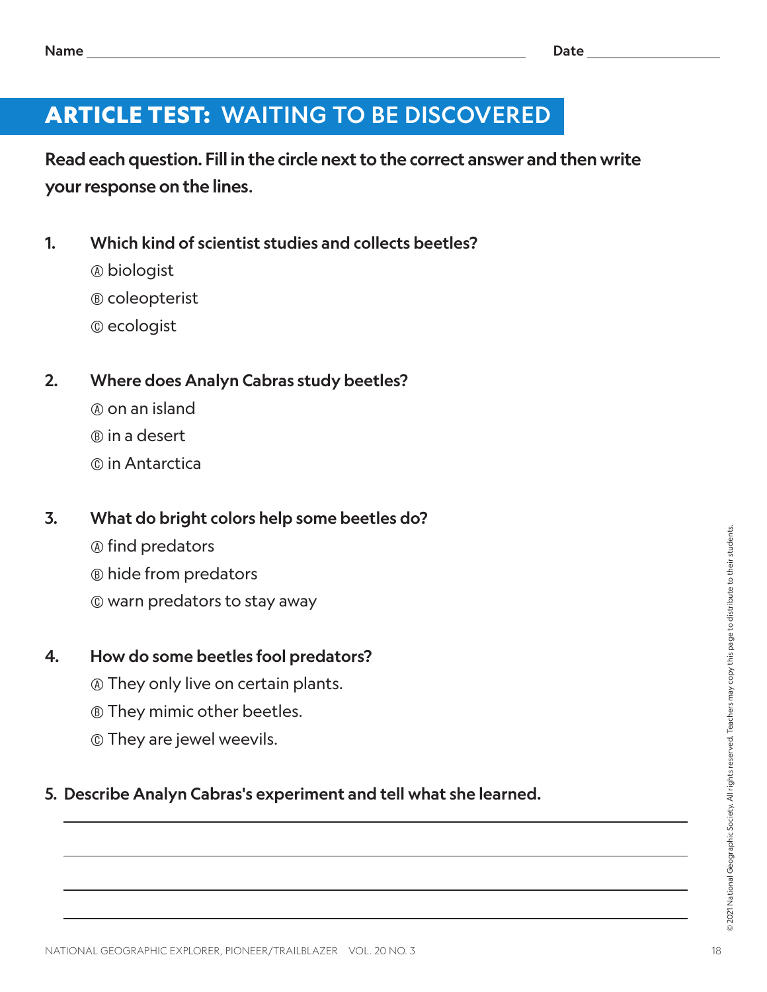# <span id="page-17-0"></span>ARTICLE TEST: WAITING TO BE DISCOVERED

Read each question. Fill in the circle next to the correct answer and then write your response on the lines.

- 1. Which kind of scientist studies and collects beetles?
	- A biologist
	- B coleopterist
	- C ecologist
- 2. Where does Analyn Cabras study beetles?
	- A on an island
	- B in a desert
	- C in Antarctica
- 3. What do bright colors help some beetles do?
	- A find predators
	- B hide from predators
	- C warn predators to stay away

#### 4. How do some beetles fool predators?

- A They only live on certain plants.
- $\circledR$  They mimic other beetles.
- C They are jewel weevils.

#### 5. Describe Analyn Cabras's experiment and tell what she learned.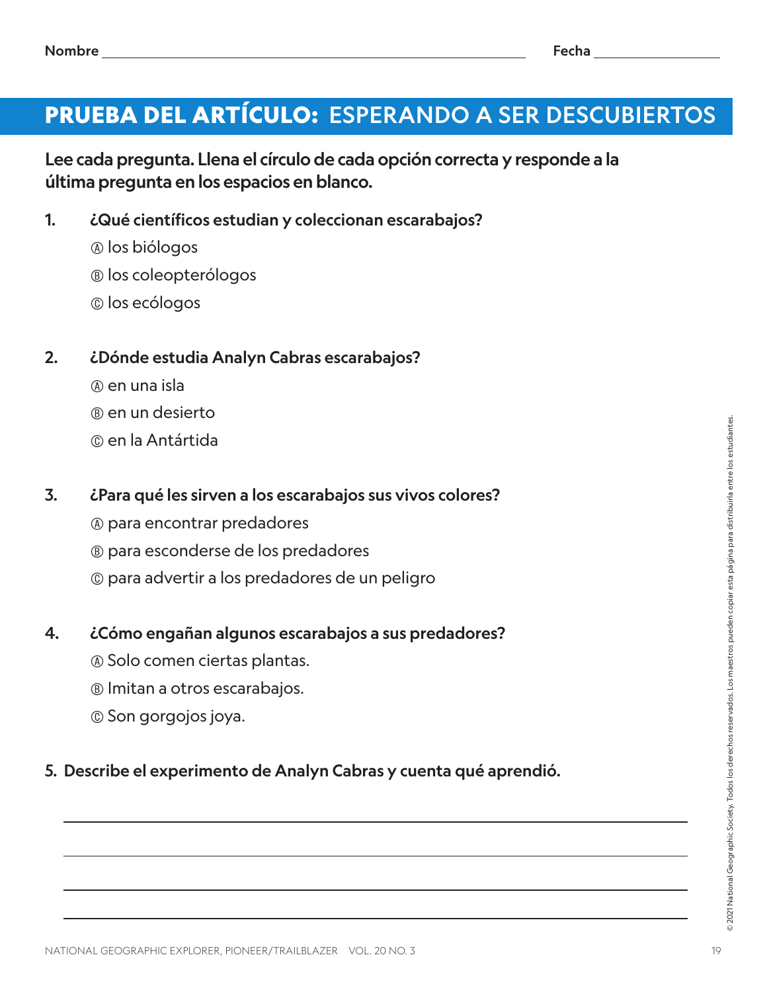# PRUEBA DEL ARTÍCULO: ESPERANDO A SER DESCUBIERTOS

Lee cada pregunta. Llena el círculo de cada opción correcta y responde a la última pregunta en los espacios en blanco.

- 1. ¿Qué científicos estudian y coleccionan escarabajos?
	- A los biólogos
	- B los coleopterólogos
	- C los ecólogos
- 2. ¿Dónde estudia Analyn Cabras escarabajos?
	- A en una isla
	- B en un desierto
	- C en la Antártida

#### 3. ¿Para qué les sirven a los escarabajos sus vivos colores?

- A para encontrar predadores
- B para esconderse de los predadores
- C para advertir a los predadores de un peligro

#### 4. ¿Cómo engañan algunos escarabajos a sus predadores?

- A Solo comen ciertas plantas.
- B Imitan a otros escarabajos.
- C Son gorgojos joya.

#### 5. Describe el experimento de Analyn Cabras y cuenta qué aprendió.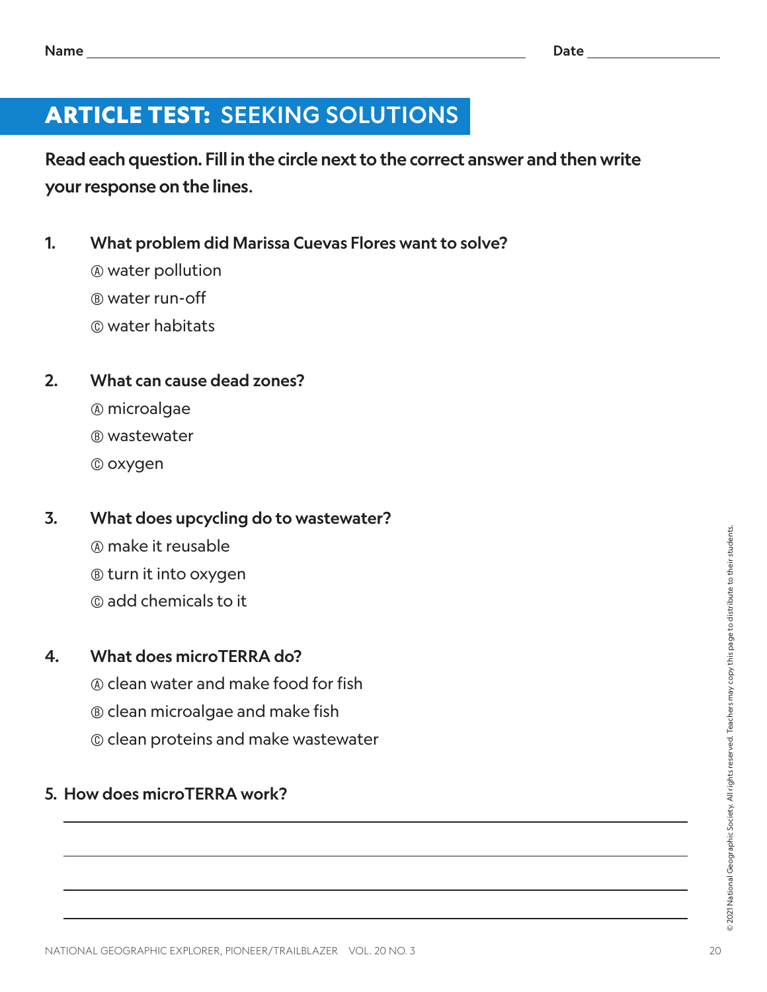# ARTICLE TEST: SEEKING SOLUTIONS

Read each question. Fill in the circle next to the correct answer and then write your response on the lines.

- 1. What problem did Marissa Cuevas Flores want to solve?
	- A water pollution
	- B water run-off
	- C water habitats

#### 2. What can cause dead zones?

- A microalgae
- B wastewater
- C oxygen

#### 3. What does upcycling do to wastewater?

- A make it reusable
- B turn it into oxygen
- C add chemicals to it

#### 4. What does microTERRA do?

- A clean water and make food for fish
- B clean microalgae and make fish
- C clean proteins and make wastewater

#### 5. How does microTERRA work?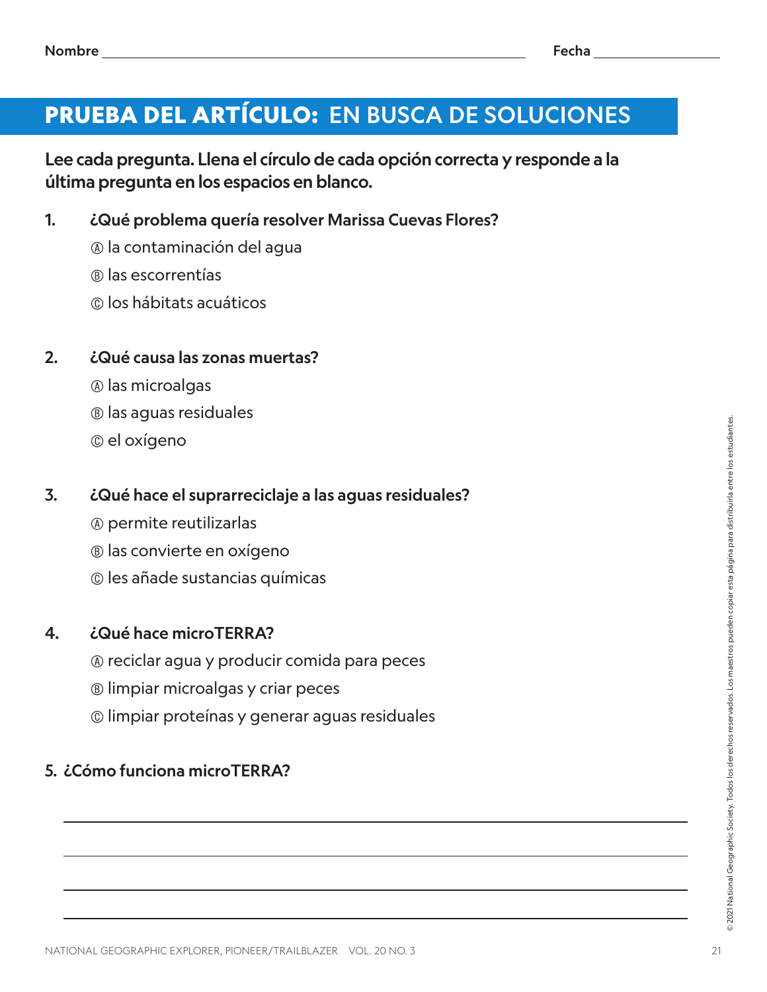# PRUEBA DEL ARTÍCULO: EN BUSCA DE SOLUCIONES

Lee cada pregunta. Llena el círculo de cada opción correcta y responde a la última pregunta en los espacios en blanco.

- 1. ¿Qué problema quería resolver Marissa Cuevas Flores?
	- A la contaminación del agua
	- B las escorrentías
	- C los hábitats acuáticos
- 2. ¿Qué causa las zonas muertas?
	- A las microalgas
	- B las aguas residuales
	- C el oxígeno

#### 3. ¿Qué hace el suprarreciclaje a las aguas residuales?

- A permite reutilizarlas
- B las convierte en oxígeno
- C les añade sustancias químicas

#### 4. ¿Qué hace microTERRA?

- A reciclar agua y producir comida para peces
- B limpiar microalgas y criar peces
- C limpiar proteínas y generar aguas residuales

#### 5. ¿Cómo funciona microTERRA?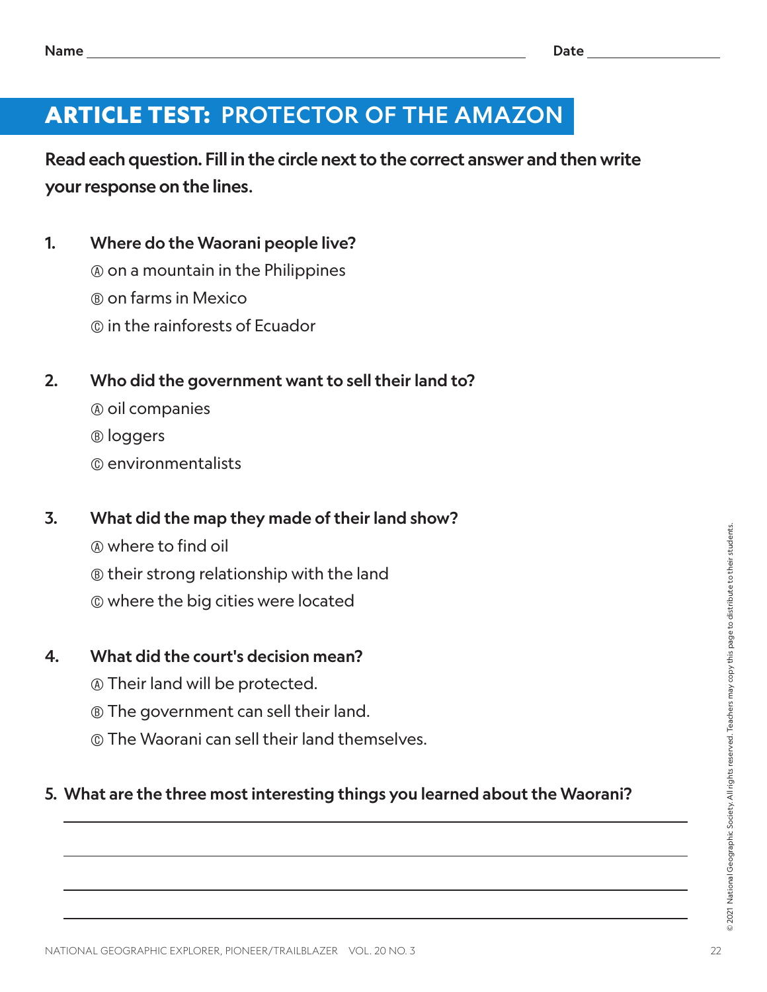# ARTICLE TEST: PROTECTOR OF THE AMAZON

Read each question. Fill in the circle next to the correct answer and then write your response on the lines.

- 1. Where do the Waorani people live?
	- A on a mountain in the Philippines
	- B on farms in Mexico
	- C in the rainforests of Ecuador

#### 2. Who did the government want to sell their land to?

- A oil companies
- B loggers
- C environmentalists
- 3. What did the map they made of their land show?
	- A where to find oil
	- B their strong relationship with the land
	- C where the big cities were located

#### 4. What did the court's decision mean?

- A Their land will be protected.
- **® The government can sell their land.**
- C The Waorani can sell their land themselves.

#### 5. What are the three most interesting things you learned about the Waorani?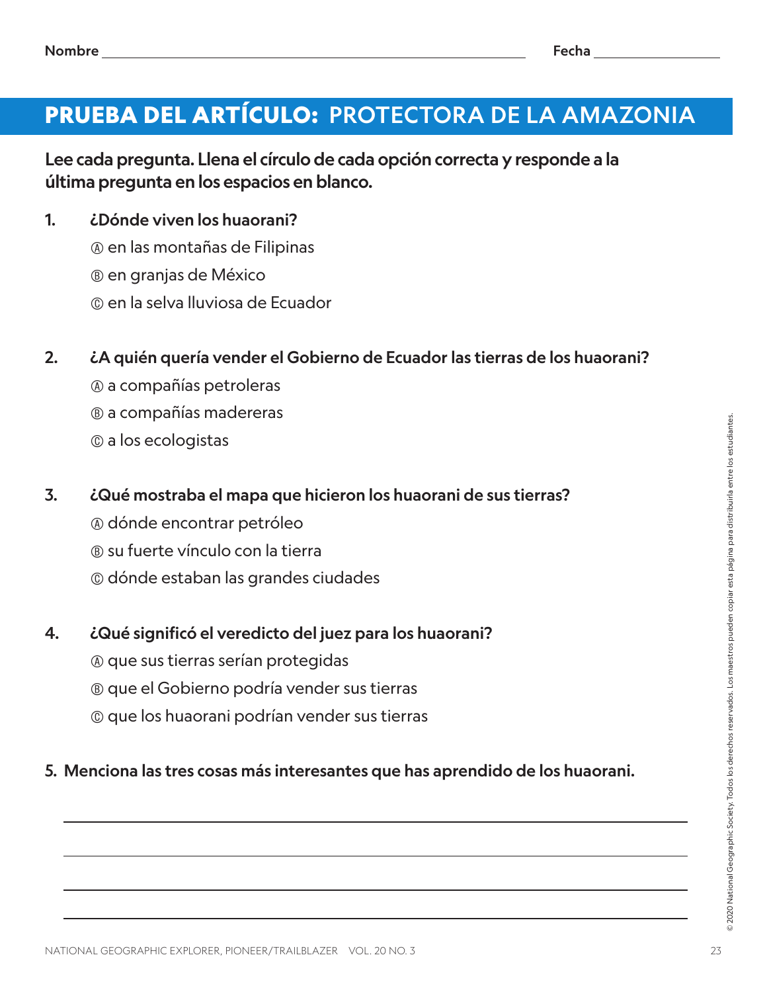# PRUEBA DEL ARTÍCULO: PROTECTORA DE LA AMAZONIA

Lee cada pregunta. Llena el círculo de cada opción correcta y responde a la última pregunta en los espacios en blanco.

- 1. ¿Dónde viven los huaorani?
	- A en las montañas de Filipinas
	- B en granjas de México
	- C en la selva lluviosa de Ecuador
- 2. *¿*A quién quería vender el Gobierno de Ecuador las tierras de los huaorani?
	- A a compañías petroleras
	- B a compañías madereras
	- C a los ecologistas

#### 3. ¿Qué mostraba el mapa que hicieron los huaorani de sus tierras?

- A dónde encontrar petróleo
- B su fuerte vínculo con la tierra
- C dónde estaban las grandes ciudades

#### 4. ¿Qué significó el veredicto del juez para los huaorani?

- A que sus tierras serían protegidas
- B que el Gobierno podría vender sus tierras
- C que los huaorani podrían vender sus tierras

#### 5. Menciona las tres cosas más interesantes que has aprendido de los huaorani.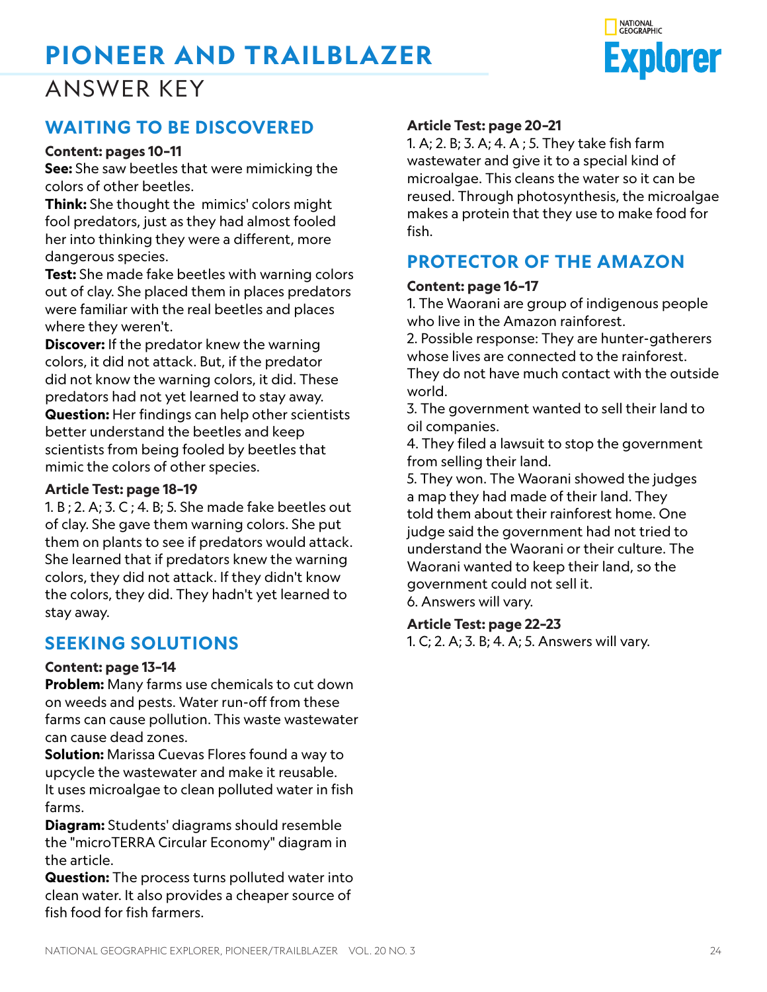# <span id="page-23-0"></span>**PIONEER AND TRAILBLAZER**



### ANSWER KEY

#### **WAITING TO BE DISCOVERED**

#### **Content: pages 10–11**

**See:** She saw beetles that were mimicking the colors of other beetles.

**Think:** She thought the mimics' colors might fool predators, just as they had almost fooled her into thinking they were a different, more dangerous species.

**Test:** She made fake beetles with warning colors out of clay. She placed them in places predators were familiar with the real beetles and places where they weren't.

**Discover:** If the predator knew the warning colors, it did not attack. But, if the predator did not know the warning colors, it did. These predators had not yet learned to stay away. **Question:** Her findings can help other scientists better understand the beetles and keep scientists from being fooled by beetles that mimic the colors of other species.

#### **Article Test: page 18–19**

1. B ; 2. A; 3. C ; 4. B; 5. She made fake beetles out of clay. She gave them warning colors. She put them on plants to see if predators would attack. She learned that if predators knew the warning colors, they did not attack. If they didn't know the colors, they did. They hadn't yet learned to stay away.

#### **SEEKING SOLUTIONS**

#### **Content: page 13–14**

**Problem:** Many farms use chemicals to cut down on weeds and pests. Water run-off from these farms can cause pollution. This waste wastewater can cause dead zones.

**Solution:** Marissa Cuevas Flores found a way to upcycle the wastewater and make it reusable. It uses microalgae to clean polluted water in fish farms.

**Diagram:** Students' diagrams should resemble the "microTERRA Circular Economy" diagram in the article.

**Question:** The process turns polluted water into clean water. It also provides a cheaper source of fish food for fish farmers.

#### **Article Test: page 20–21**

1. A; 2. B; 3. A; 4. A ; 5. They take fish farm wastewater and give it to a special kind of microalgae. This cleans the water so it can be reused. Through photosynthesis, the microalgae makes a protein that they use to make food for fish.

#### **PROTECTOR OF THE AMAZON**

#### **Content: page 16–17**

1. The Waorani are group of indigenous people who live in the Amazon rainforest.

2. Possible response: They are hunter-gatherers whose lives are connected to the rainforest.

They do not have much contact with the outside world.

3. The government wanted to sell their land to oil companies.

4. They filed a lawsuit to stop the government from selling their land.

5. They won. The Waorani showed the judges a map they had made of their land. They told them about their rainforest home. One judge said the government had not tried to understand the Waorani or their culture. The Waorani wanted to keep their land, so the government could not sell it. 6. Answers will vary.

#### **Article Test: page 22–23**

1. C; 2. A; 3. B; 4. A; 5. Answers will vary.